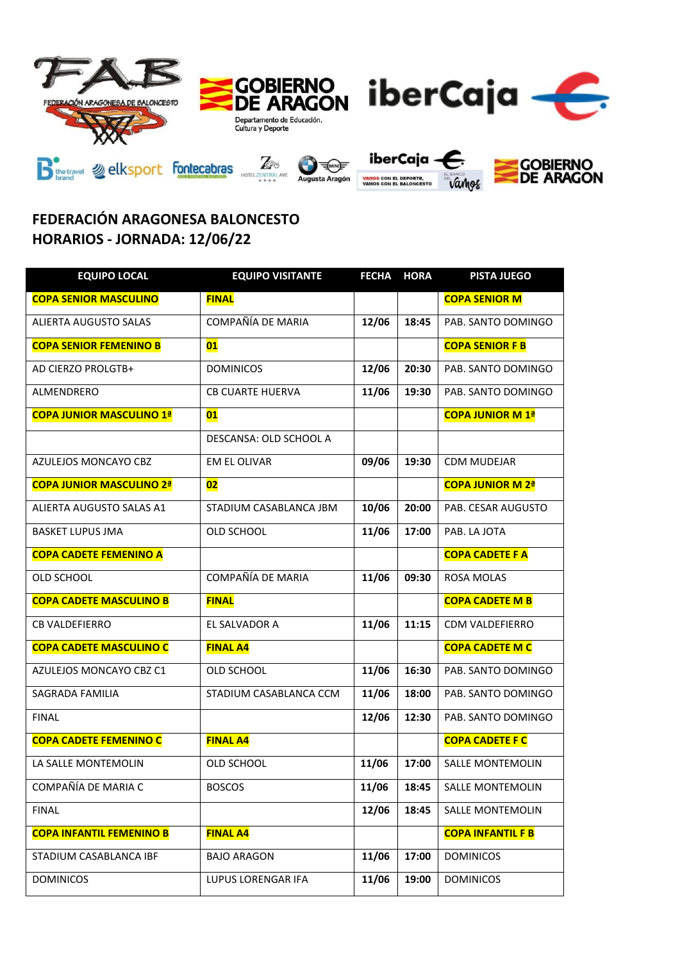

## **FEDERACIÓN ARAGONESA BALONCESTO HORARIOS - JORNADA: 12/06/22**

| <b>EQUIPO LOCAL</b>             | <b>EQUIPO VISITANTE</b> | <b>FECHA</b> | <b>HORA</b> | <b>PISTA JUEGO</b>       |
|---------------------------------|-------------------------|--------------|-------------|--------------------------|
| <b>COPA SENIOR MASCULINO</b>    | <b>FINAL</b>            |              |             | <b>COPA SENIOR M</b>     |
| <b>ALIERTA AUGUSTO SALAS</b>    | COMPAÑÍA DE MARIA       | 12/06        | 18:45       | PAB. SANTO DOMINGO       |
| <b>COPA SENIOR FEMENINO B</b>   | 01                      |              |             | <b>COPA SENIOR F B</b>   |
| AD CIERZO PROLGTB+              | <b>DOMINICOS</b>        | 12/06        | 20:30       | PAB. SANTO DOMINGO       |
| ALMENDRERO                      | <b>CB CUARTE HUERVA</b> | 11/06        | 19:30       | PAB. SANTO DOMINGO       |
| <b>COPA JUNIOR MASCULINO 1ª</b> | 01                      |              |             | <b>COPA JUNIOR M 1ª</b>  |
|                                 | DESCANSA: OLD SCHOOL A  |              |             |                          |
| AZULEJOS MONCAYO CBZ            | <b>EM EL OLIVAR</b>     | 09/06        | 19:30       | <b>CDM MUDEJAR</b>       |
| <b>COPA JUNIOR MASCULINO 2ª</b> | 02                      |              |             | <b>COPA JUNIOR M 2ª</b>  |
| ALIERTA AUGUSTO SALAS A1        | STADIUM CASABLANCA JBM  | 10/06        | 20:00       | PAB. CESAR AUGUSTO       |
| <b>BASKET LUPUS JMA</b>         | OLD SCHOOL              | 11/06        | 17:00       | PAB. LA JOTA             |
| <b>COPA CADETE FEMENINO A</b>   |                         |              |             | <b>COPA CADETE F A</b>   |
| OLD SCHOOL                      | COMPAÑÍA DE MARIA       | 11/06        | 09:30       | <b>ROSA MOLAS</b>        |
| <b>COPA CADETE MASCULINO B</b>  | <b>FINAL</b>            |              |             | <b>COPA CADETE M B</b>   |
| <b>CB VALDEFIERRO</b>           | EL SALVADOR A           | 11/06        | 11:15       | <b>CDM VALDEFIERRO</b>   |
| <b>COPA CADETE MASCULINO C</b>  | <b>FINAL A4</b>         |              |             | <b>COPA CADETE M C</b>   |
| AZULEJOS MONCAYO CBZ C1         | OLD SCHOOL              | 11/06        | 16:30       | PAB. SANTO DOMINGO       |
| <b>SAGRADA FAMILIA</b>          | STADIUM CASABLANCA CCM  | 11/06        | 18:00       | PAB. SANTO DOMINGO       |
| <b>FINAL</b>                    |                         | 12/06        | 12:30       | PAB. SANTO DOMINGO       |
| <b>COPA CADETE FEMENINO C</b>   | <b>FINAL A4</b>         |              |             | <b>COPA CADETE F C</b>   |
| LA SALLE MONTEMOLIN             | OLD SCHOOL              | 11/06        | 17:00       | SALLE MONTEMOLIN         |
| COMPAÑÍA DE MARIA C             | <b>BOSCOS</b>           | 11/06        | 18:45       | SALLE MONTEMOLIN         |
| <b>FINAL</b>                    |                         | 12/06        | 18:45       | <b>SALLE MONTEMOLIN</b>  |
| <b>COPA INFANTIL FEMENINO B</b> | <b>FINAL A4</b>         |              |             | <b>COPA INFANTIL F B</b> |
| STADIUM CASABLANCA IBF          | <b>BAJO ARAGON</b>      | 11/06        | 17:00       | <b>DOMINICOS</b>         |
| <b>DOMINICOS</b>                | LUPUS LORENGAR IFA      | 11/06        | 19:00       | <b>DOMINICOS</b>         |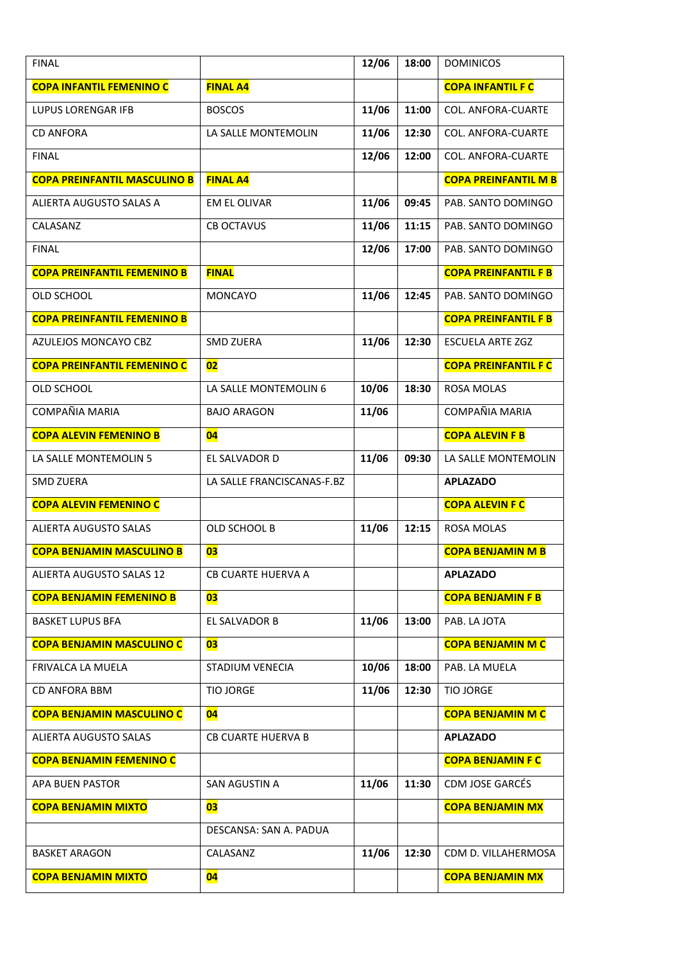| <b>FINAL</b>                        |                            | 12/06 | 18:00 | <b>DOMINICOS</b>            |
|-------------------------------------|----------------------------|-------|-------|-----------------------------|
| <b>COPA INFANTIL FEMENINO C</b>     | <b>FINAL A4</b>            |       |       | <b>COPA INFANTIL F C</b>    |
| <b>LUPUS LORENGAR IFB</b>           | <b>BOSCOS</b>              | 11/06 | 11:00 | <b>COL. ANFORA-CUARTE</b>   |
| <b>CD ANFORA</b>                    | LA SALLE MONTEMOLIN        | 11/06 | 12:30 | <b>COL. ANFORA-CUARTE</b>   |
| <b>FINAL</b>                        |                            | 12/06 | 12:00 | COL. ANFORA-CUARTE          |
| <b>COPA PREINFANTIL MASCULINO B</b> | <b>FINAL A4</b>            |       |       | <b>COPA PREINFANTIL M B</b> |
| ALIERTA AUGUSTO SALAS A             | <b>EM EL OLIVAR</b>        | 11/06 | 09:45 | PAB. SANTO DOMINGO          |
| CALASANZ                            | <b>CB OCTAVUS</b>          | 11/06 | 11:15 | PAB. SANTO DOMINGO          |
| <b>FINAL</b>                        |                            | 12/06 | 17:00 | PAB. SANTO DOMINGO          |
| <b>COPA PREINFANTIL FEMENINO B</b>  | <b>FINAL</b>               |       |       | <b>COPA PREINFANTIL F B</b> |
| OLD SCHOOL                          | <b>MONCAYO</b>             | 11/06 | 12:45 | PAB. SANTO DOMINGO          |
| <b>COPA PREINFANTIL FEMENINO B</b>  |                            |       |       | <b>COPA PREINFANTIL F B</b> |
| AZULEJOS MONCAYO CBZ                | <b>SMD ZUERA</b>           | 11/06 | 12:30 | <b>ESCUELA ARTE ZGZ</b>     |
| <b>COPA PREINFANTIL FEMENINO C</b>  | 02                         |       |       | <b>COPA PREINFANTIL F C</b> |
| OLD SCHOOL                          | LA SALLE MONTEMOLIN 6      | 10/06 | 18:30 | <b>ROSA MOLAS</b>           |
| COMPAÑIA MARIA                      | <b>BAJO ARAGON</b>         | 11/06 |       | COMPAÑIA MARIA              |
| <b>COPA ALEVIN FEMENINO B</b>       | 04                         |       |       | <b>COPA ALEVIN F B</b>      |
| LA SALLE MONTEMOLIN 5               | EL SALVADOR D              | 11/06 | 09:30 | LA SALLE MONTEMOLIN         |
| <b>SMD ZUERA</b>                    | LA SALLE FRANCISCANAS-F.BZ |       |       | <b>APLAZADO</b>             |
| <b>COPA ALEVIN FEMENINO C</b>       |                            |       |       | <b>COPA ALEVIN F C</b>      |
| <b>ALIERTA AUGUSTO SALAS</b>        | OLD SCHOOL B               | 11/06 | 12:15 | <b>ROSA MOLAS</b>           |
| <b>COPA BENJAMIN MASCULINO B</b>    | 03                         |       |       | <b>COPA BENJAMIN M B</b>    |
| <b>ALIERTA AUGUSTO SALAS 12</b>     | CB CUARTE HUERVA A         |       |       | <b>APLAZADO</b>             |
| <b>COPA BENJAMIN FEMENINO B</b>     | 03                         |       |       | <b>COPA BENJAMIN F B</b>    |
| <b>BASKET LUPUS BFA</b>             | EL SALVADOR B              | 11/06 | 13:00 | PAB. LA JOTA                |
| <b>COPA BENJAMIN MASCULINO C</b>    |                            |       |       |                             |
|                                     | 03                         |       |       | <b>COPA BENJAMIN M C</b>    |
| FRIVALCA LA MUELA                   | STADIUM VENECIA            | 10/06 | 18:00 | PAB. LA MUELA               |
| <b>CD ANFORA BBM</b>                | <b>TIO JORGE</b>           | 11/06 | 12:30 | <b>TIO JORGE</b>            |
| <b>COPA BENJAMIN MASCULINO C</b>    | 04                         |       |       | <b>COPA BENJAMIN M C</b>    |
| ALIERTA AUGUSTO SALAS               | <b>CB CUARTE HUERVA B</b>  |       |       | <b>APLAZADO</b>             |
| <b>COPA BENJAMIN FEMENINO C</b>     |                            |       |       | <b>COPA BENJAMIN F C</b>    |
| APA BUEN PASTOR                     | SAN AGUSTIN A              | 11/06 | 11:30 | CDM JOSE GARCÉS             |
| <b>COPA BENJAMIN MIXTO</b>          | 03                         |       |       | <b>COPA BENJAMIN MX</b>     |
|                                     | DESCANSA: SAN A. PADUA     |       |       |                             |
| <b>BASKET ARAGON</b>                | CALASANZ                   | 11/06 | 12:30 | CDM D. VILLAHERMOSA         |